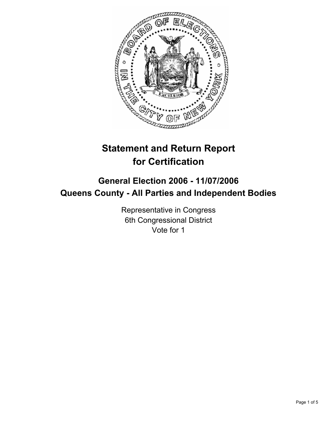

# **Statement and Return Report for Certification**

## **General Election 2006 - 11/07/2006 Queens County - All Parties and Independent Bodies**

Representative in Congress 6th Congressional District Vote for 1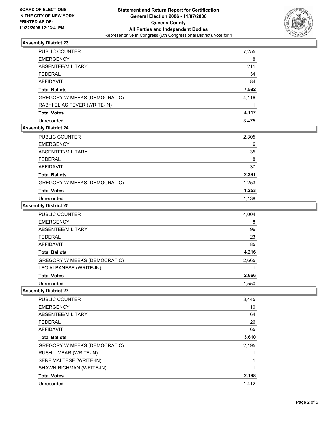

## **Assembly District 23**

| PUBLIC COUNTER               | 7,255 |
|------------------------------|-------|
| <b>EMERGENCY</b>             | 8     |
| ABSENTEE/MILITARY            | 211   |
| FEDERAL                      | 34    |
| AFFIDAVIT                    | 84    |
| Total Ballots                | 7,592 |
| GREGORY W MEEKS (DEMOCRATIC) | 4,116 |
| RABHI ELIAS FEVER (WRITE-IN) |       |
| <b>Total Votes</b>           | 4,117 |
| Unrecorded                   | 3.475 |

## **Assembly District 24**

| <b>PUBLIC COUNTER</b>        | 2,305 |
|------------------------------|-------|
| <b>EMERGENCY</b>             | 6     |
| ABSENTEE/MILITARY            | 35    |
| <b>FEDERAL</b>               | 8     |
| <b>AFFIDAVIT</b>             | 37    |
| <b>Total Ballots</b>         | 2,391 |
| GREGORY W MEEKS (DEMOCRATIC) | 1,253 |
| <b>Total Votes</b>           | 1,253 |
| Unrecorded                   | 1,138 |

#### **Assembly District 25**

| PUBLIC COUNTER               | 4,004 |
|------------------------------|-------|
| <b>EMERGENCY</b>             | 8     |
| ABSENTEE/MILITARY            | 96    |
| <b>FEDERAL</b>               | 23    |
| <b>AFFIDAVIT</b>             | 85    |
| <b>Total Ballots</b>         | 4,216 |
| GREGORY W MEEKS (DEMOCRATIC) | 2,665 |
| LEO ALBANESE (WRITE-IN)      |       |
| <b>Total Votes</b>           | 2,666 |
| Unrecorded                   | 1,550 |

#### **Assembly District 27**

| PUBLIC COUNTER               | 3,445 |
|------------------------------|-------|
| <b>EMERGENCY</b>             | 10    |
| ABSENTEE/MILITARY            | 64    |
| <b>FEDERAL</b>               | 26    |
| AFFIDAVIT                    | 65    |
| <b>Total Ballots</b>         | 3,610 |
| GREGORY W MEEKS (DEMOCRATIC) | 2,195 |
| RUSH LIMBAR (WRITE-IN)       |       |
| SERF MALTESE (WRITE-IN)      |       |
| SHAWN RICHMAN (WRITE-IN)     |       |
| <b>Total Votes</b>           | 2,198 |
| Unrecorded                   | 1.412 |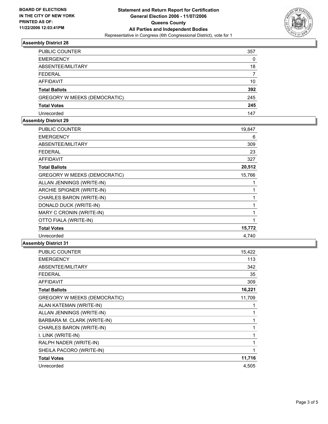

## **Assembly District 28**

| PUBLIC COUNTER                      | 357 |
|-------------------------------------|-----|
| <b>EMERGENCY</b>                    |     |
| ABSENTEE/MILITARY                   | 18  |
| <b>FEDERAL</b>                      |     |
| <b>AFFIDAVIT</b>                    | 10  |
| <b>Total Ballots</b>                | 392 |
| <b>GREGORY W MEEKS (DEMOCRATIC)</b> | 245 |
| <b>Total Votes</b>                  | 245 |
| Unrecorded                          | 147 |

#### **Assembly District 29**

| <b>PUBLIC COUNTER</b>               | 19,847 |
|-------------------------------------|--------|
| <b>EMERGENCY</b>                    | 6      |
| ABSENTEE/MILITARY                   | 309    |
| <b>FEDERAL</b>                      | 23     |
| <b>AFFIDAVIT</b>                    | 327    |
| <b>Total Ballots</b>                | 20,512 |
| <b>GREGORY W MEEKS (DEMOCRATIC)</b> | 15,766 |
| ALLAN JENNINGS (WRITE-IN)           |        |
| ARCHIE SPIGNER (WRITE-IN)           |        |
| CHARLES BARON (WRITE-IN)            |        |
| DONALD DUCK (WRITE-IN)              |        |
| MARY C CRONIN (WRITE-IN)            |        |
| OTTO FIALA (WRITE-IN)               |        |
| <b>Total Votes</b>                  | 15,772 |
| Unrecorded                          | 4,740  |

#### **Assembly District 31**

| <b>PUBLIC COUNTER</b>        | 15,422 |
|------------------------------|--------|
| <b>EMERGENCY</b>             | 113    |
| ABSENTEE/MILITARY            | 342    |
| <b>FEDERAL</b>               | 35     |
| <b>AFFIDAVIT</b>             | 309    |
| <b>Total Ballots</b>         | 16,221 |
| GREGORY W MEEKS (DEMOCRATIC) | 11,709 |
| ALAN KATEMAN (WRITE-IN)      |        |
| ALLAN JENNINGS (WRITE-IN)    |        |
| BARBARA M. CLARK (WRITE-IN)  |        |
| CHARLES BARON (WRITE-IN)     |        |
| I. LINK (WRITE-IN)           |        |
| RALPH NADER (WRITE-IN)       |        |
| SHEILA PACORO (WRITE-IN)     |        |
| <b>Total Votes</b>           | 11,716 |
| Unrecorded                   | 4,505  |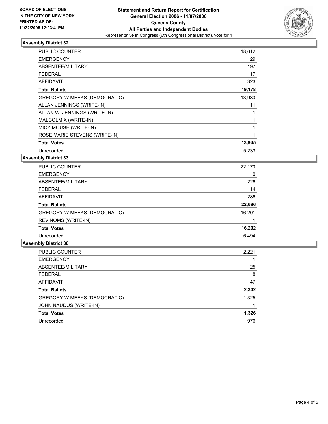

## **Assembly District 32**

| <b>PUBLIC COUNTER</b>         | 18,612 |  |
|-------------------------------|--------|--|
| <b>EMERGENCY</b>              | 29     |  |
| ABSENTEE/MILITARY             | 197    |  |
| <b>FEDERAL</b>                | 17     |  |
| AFFIDAVIT                     | 323    |  |
| <b>Total Ballots</b>          | 19,178 |  |
| GREGORY W MEEKS (DEMOCRATIC)  | 13,930 |  |
| ALLAN JENNINGS (WRITE-IN)     | 11     |  |
| ALLAN W. JENNINGS (WRITE-IN)  |        |  |
| MALCOLM X (WRITE-IN)          |        |  |
| MICY MOUSE (WRITE-IN)         |        |  |
| ROSE MARIE STEVENS (WRITE-IN) |        |  |
| <b>Total Votes</b>            | 13,945 |  |
| Unrecorded                    | 5.233  |  |

**Assembly District 33**

| PUBLIC COUNTER               | 22,170 |
|------------------------------|--------|
| <b>EMERGENCY</b>             | 0      |
| ABSENTEE/MILITARY            | 226    |
| <b>FEDERAL</b>               | 14     |
| AFFIDAVIT                    | 286    |
| <b>Total Ballots</b>         | 22,696 |
| GREGORY W MEEKS (DEMOCRATIC) | 16,201 |
| REV NOMS (WRITE-IN)          |        |
| <b>Total Votes</b>           | 16,202 |
| Unrecorded                   | 6,494  |

#### **Assembly District 38**

| 2,221 |
|-------|
|       |
| 25    |
| 8     |
| 47    |
| 2,302 |
| 1,325 |
|       |
| 1,326 |
| 976   |
|       |